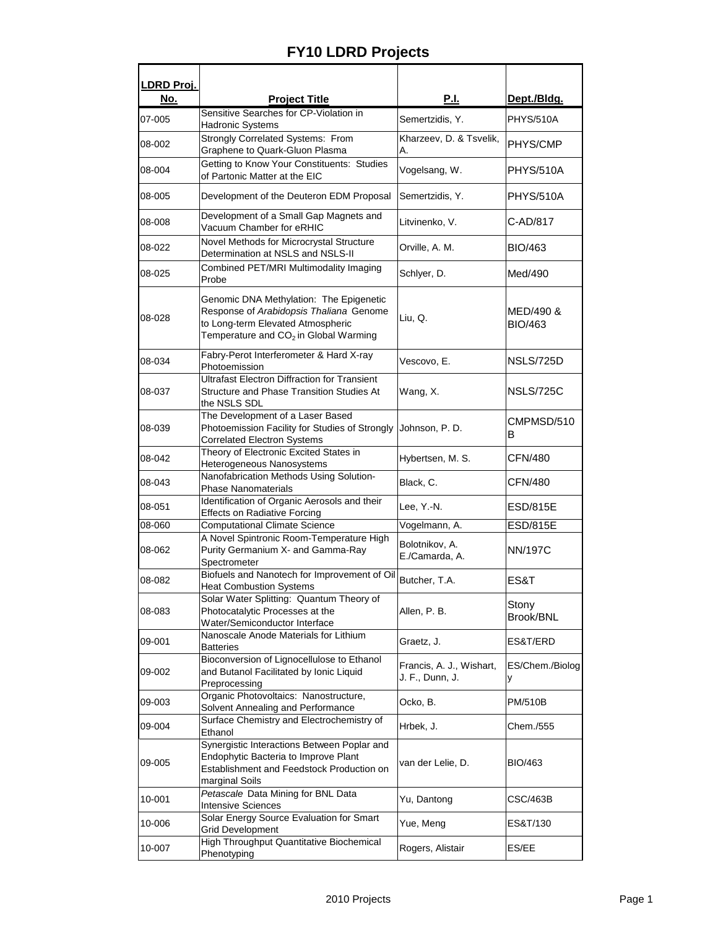## **FY10 LDRD Projects**

| LDRD Proj. |                                                                                                                                                                              |                                             |                             |
|------------|------------------------------------------------------------------------------------------------------------------------------------------------------------------------------|---------------------------------------------|-----------------------------|
| <u>No.</u> | <b>Project Title</b>                                                                                                                                                         | <u>P.I.</u>                                 | Dept./Bldg.                 |
| 07-005     | Sensitive Searches for CP-Violation in<br>Hadronic Systems                                                                                                                   | Semertzidis, Y.                             | PHYS/510A                   |
| 08-002     | Strongly Correlated Systems: From<br>Graphene to Quark-Gluon Plasma                                                                                                          | Kharzeev, D. & Tsvelik,<br>А.               | PHYS/CMP                    |
| 08-004     | Getting to Know Your Constituents: Studies<br>of Partonic Matter at the EIC                                                                                                  | Vogelsang, W.                               | <b>PHYS/510A</b>            |
| 08-005     | Development of the Deuteron EDM Proposal                                                                                                                                     | Semertzidis, Y.                             | <b>PHYS/510A</b>            |
| 08-008     | Development of a Small Gap Magnets and<br>Vacuum Chamber for eRHIC                                                                                                           | Litvinenko, V.                              | C-AD/817                    |
| 08-022     | Novel Methods for Microcrystal Structure<br>Determination at NSLS and NSLS-II                                                                                                | Orville, A. M.                              | <b>BIO/463</b>              |
| 08-025     | Combined PET/MRI Multimodality Imaging<br>Probe                                                                                                                              | Schlyer, D.                                 | Med/490                     |
| 08-028     | Genomic DNA Methylation: The Epigenetic<br>Response of Arabidopsis Thaliana Genome<br>to Long-term Elevated Atmospheric<br>Temperature and CO <sub>2</sub> in Global Warming | Liu, Q.                                     | MED/490 &<br><b>BIO/463</b> |
| 08-034     | Fabry-Perot Interferometer & Hard X-ray<br>Photoemission                                                                                                                     | Vescovo, E.                                 | <b>NSLS/725D</b>            |
| 08-037     | <b>Ultrafast Electron Diffraction for Transient</b><br>Structure and Phase Transition Studies At<br>the NSLS SDL                                                             | Wang, X.                                    | <b>NSLS/725C</b>            |
| 08-039     | The Development of a Laser Based<br>Photoemission Facility for Studies of Strongly<br><b>Correlated Electron Systems</b>                                                     | Johnson, P.D.                               | CMPMSD/510<br>B             |
| 08-042     | Theory of Electronic Excited States in<br>Heterogeneous Nanosystems                                                                                                          | Hybertsen, M. S.                            | CFN/480                     |
| 08-043     | Nanofabrication Methods Using Solution-<br><b>Phase Nanomaterials</b>                                                                                                        | Black, C.                                   | <b>CFN/480</b>              |
| 08-051     | Identification of Organic Aerosols and their<br><b>Effects on Radiative Forcing</b>                                                                                          | Lee, Y.-N.                                  | <b>ESD/815E</b>             |
| 08-060     | <b>Computational Climate Science</b>                                                                                                                                         | Vogelmann, A.                               | <b>ESD/815E</b>             |
| 08-062     | A Novel Spintronic Room-Temperature High<br>Purity Germanium X- and Gamma-Ray<br>Spectrometer                                                                                | Bolotnikov, A.<br>E./Camarda, A.            | <b>NN/197C</b>              |
| 08-082     | Biofuels and Nanotech for Improvement of Oil<br><b>Heat Combustion Systems</b>                                                                                               | Butcher, T.A.                               | ES&T                        |
| 08-083     | Solar Water Splitting: Quantum Theory of<br>Photocatalytic Processes at the<br>Water/Semiconductor Interface                                                                 | Allen, P. B.                                | Stony<br>Brook/BNL          |
| 09-001     | Nanoscale Anode Materials for Lithium<br><b>Batteries</b>                                                                                                                    | Graetz, J.                                  | ES&T/ERD                    |
| 09-002     | Bioconversion of Lignocellulose to Ethanol<br>and Butanol Facilitated by Ionic Liquid<br>Preprocessing                                                                       | Francis, A. J., Wishart,<br>J. F., Dunn, J. | ES/Chem./Biolog<br>у        |
| 09-003     | Organic Photovoltaics: Nanostructure,<br>Solvent Annealing and Performance                                                                                                   | Ocko, B.                                    | PM/510B                     |
| 09-004     | Surface Chemistry and Electrochemistry of<br>Ethanol                                                                                                                         | Hrbek, J.                                   | Chem./555                   |
| 09-005     | Synergistic Interactions Between Poplar and<br>Endophytic Bacteria to Improve Plant<br>Establishment and Feedstock Production on<br>marginal Soils                           | van der Lelie, D.                           | <b>BIO/463</b>              |
| 10-001     | Petascale Data Mining for BNL Data<br><b>Intensive Sciences</b>                                                                                                              | Yu, Dantong                                 | <b>CSC/463B</b>             |
| 10-006     | Solar Energy Source Evaluation for Smart<br><b>Grid Development</b>                                                                                                          | Yue, Meng                                   | ES&T/130                    |
| 10-007     | High Throughput Quantitative Biochemical<br>Phenotyping                                                                                                                      | Rogers, Alistair                            | ES/EE                       |